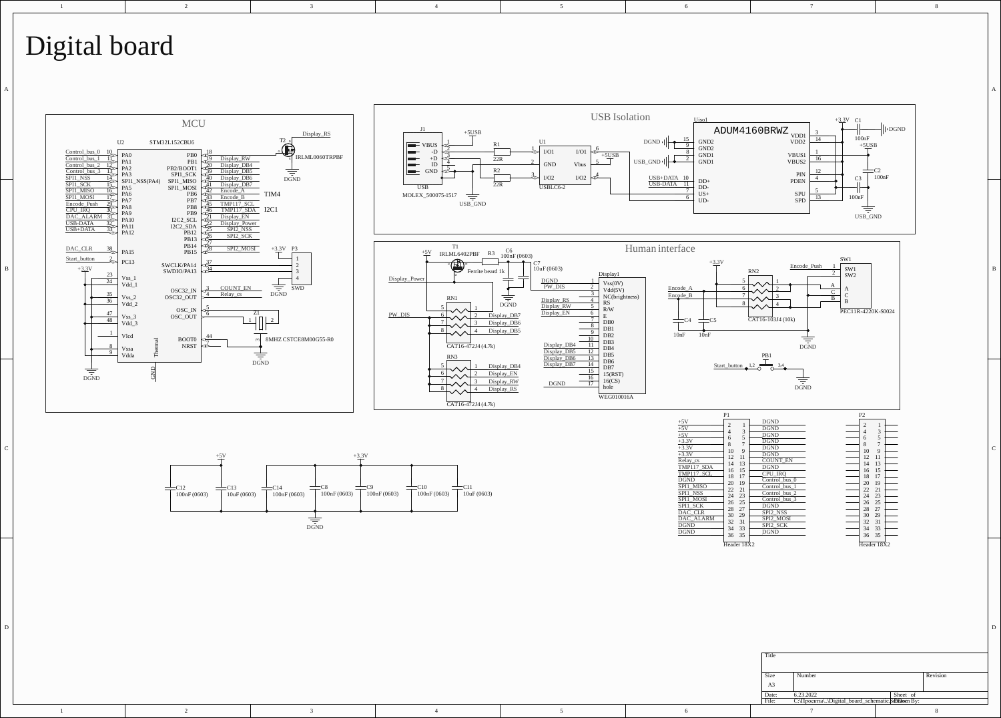## Digital board

2

3

1

1

2

3



4

5

A a contract the contract of a set of a set of a set of a set of a set of a set of a set of a set of a set of a set of a set of a set of a set of a set of a set of a set of a set of a set of a set of a set of a set of a se

6

7

8

4

5

6

7 8 Size Number Revision A3 Date: 6.23.2022 Sheet of<br>File: С:\Проекты\..\Digital\_board\_schematic.**\$dDFawe**n By:

Header 18X2

P2

100nF

 $SW1$ SW<sub>2</sub>  $\frac{A}{C}$  A  $\frac{c}{c}$   $\frac{c}{c}$  $\frac{B}{B}$  B

SW<sub>1</sub>

 $\frac{1}{\overline{5}}$ 

USB\_GND

≢

PEC11R-4220K-S0024

 $+5USB$ 

 $100nF$ 

C2<br>100nF

 $\frac{1}{2}$  |  $\log_{ND}$ 

 $C<sub>3</sub>$ 

 $+3.3V$  C1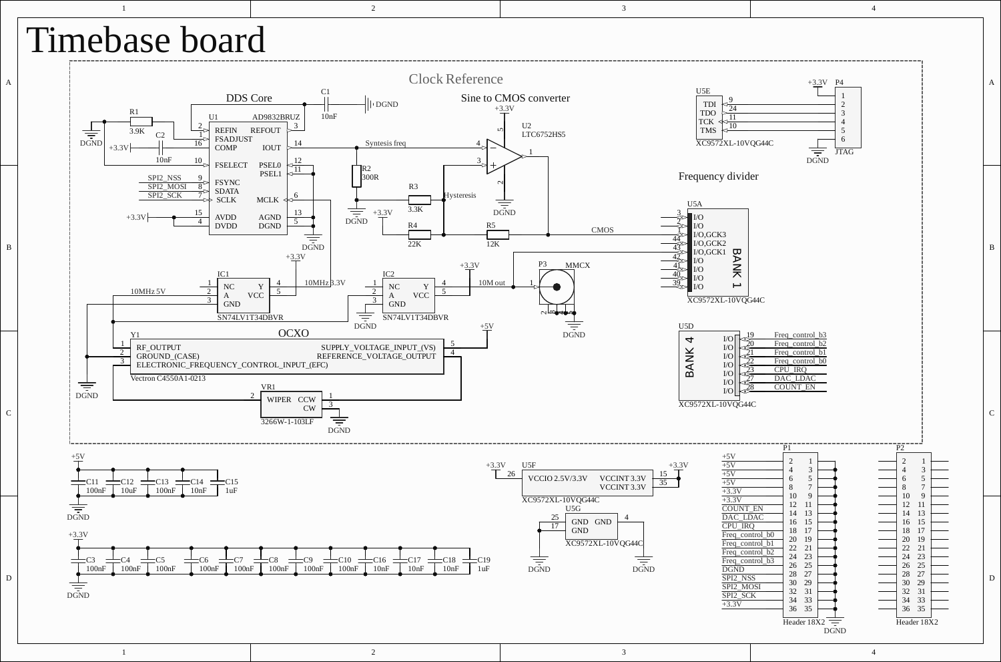

3

 $\overline{2}$ 

1 2 3 4

4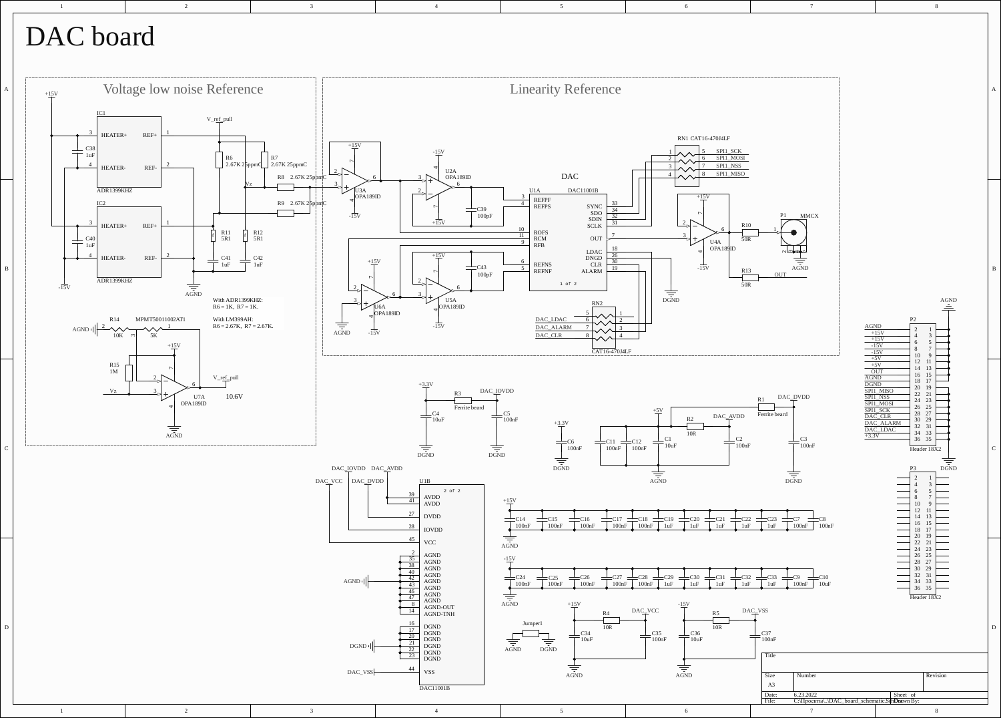## DAC board

2

3

1



4

5

6

7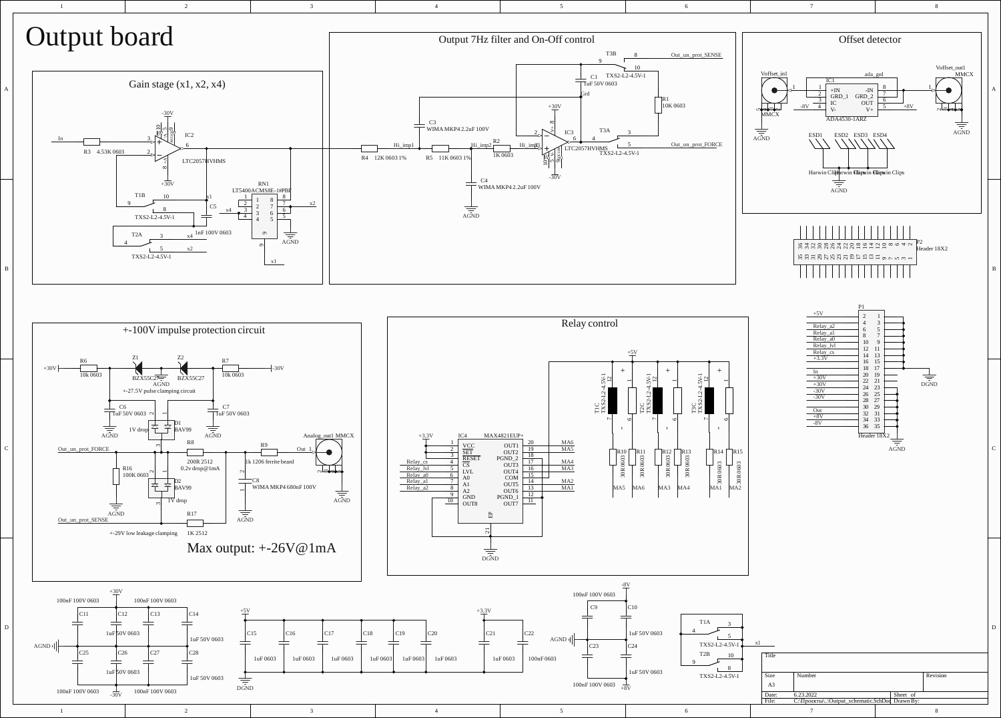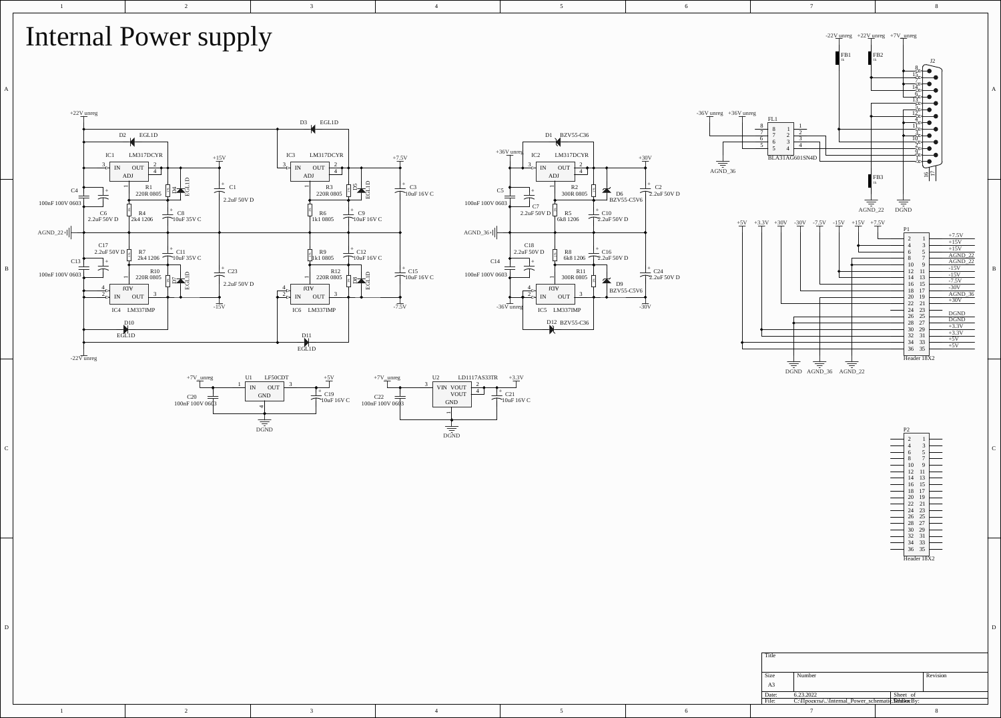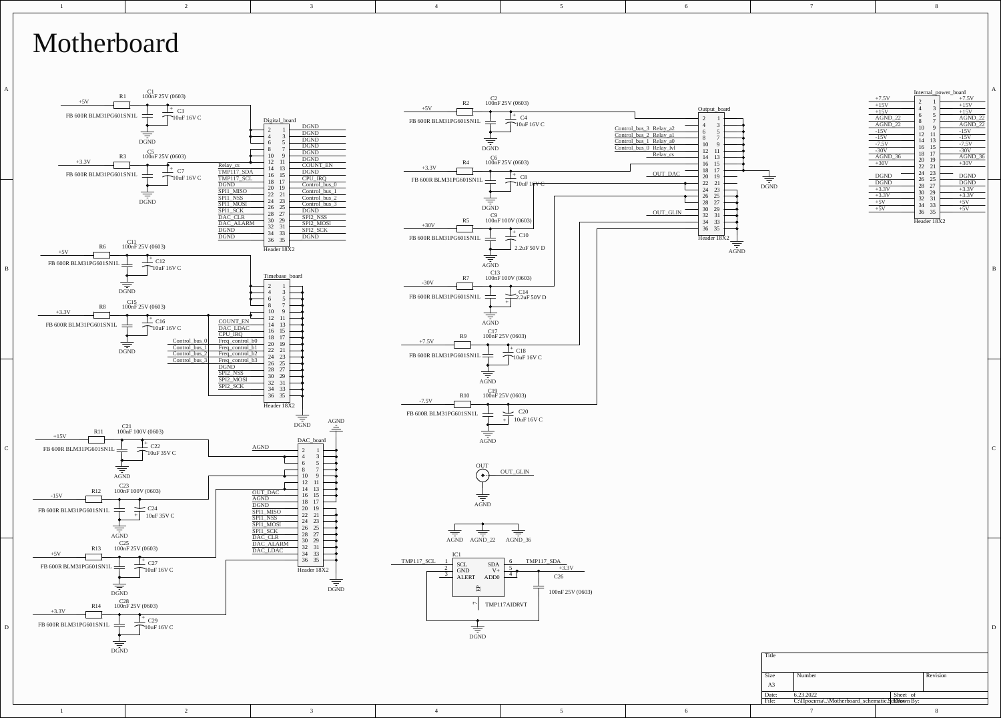

## Motherboard

1



2

3

4



5

6

7

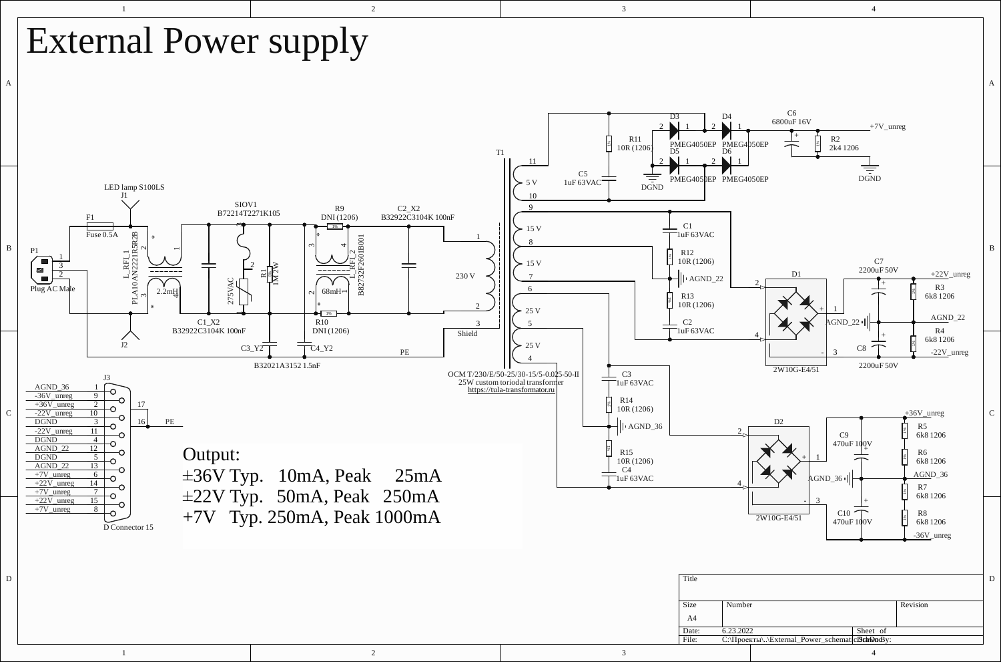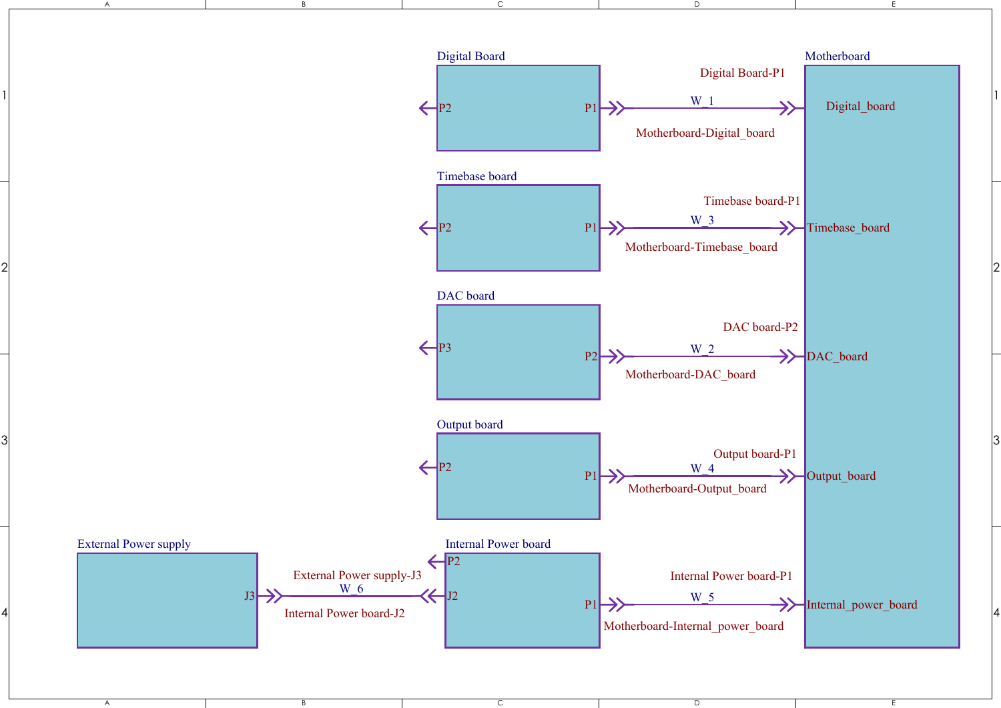

 $\mathbf{1}$ 

 $\overline{2}$ 

3